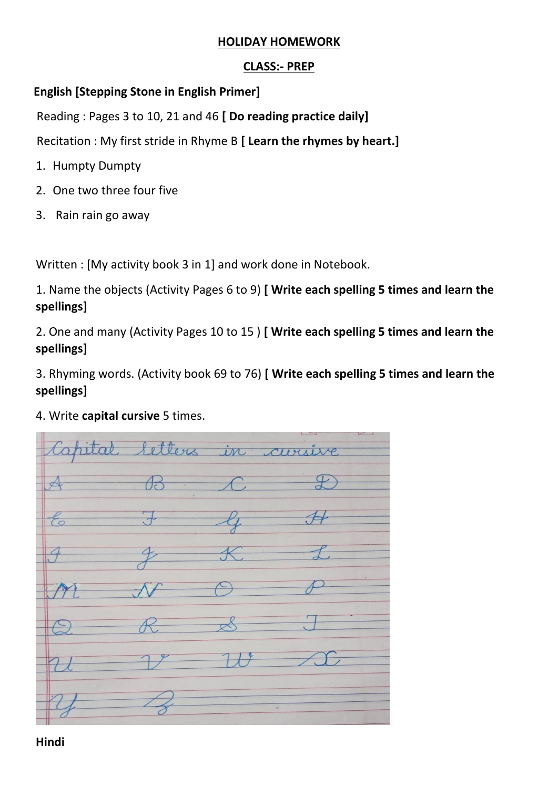#### **HOLIDAY HOMEWORK**

#### **CLASS:- PREP**

### **English [Stepping Stone in English Primer]**

Reading : Pages 3 to 10, 21 and 46 **[ Do reading practice daily]**

Recitation : My first stride in Rhyme B **[ Learn the rhymes by heart.]**

- 1. Humpty Dumpty
- 2. One two three four five
- 3. Rain rain go away

Written : [My activity book 3 in 1] and work done in Notebook.

1. Name the objects (Activity Pages 6 to 9) **[ Write each spelling 5 times and learn the spellings]**

2. One and many (Activity Pages 10 to 15 ) **[ Write each spelling 5 times and learn the spellings]**

3. Rhyming words. (Activity book 69 to 76) **[ Write each spelling 5 times and learn the spellings]**

4. Write **capital cursive** 5 times.

tons  $CIPXI\lambda P$  $\dot{m}$  $\mathcal{P}$ 

**Hindi**